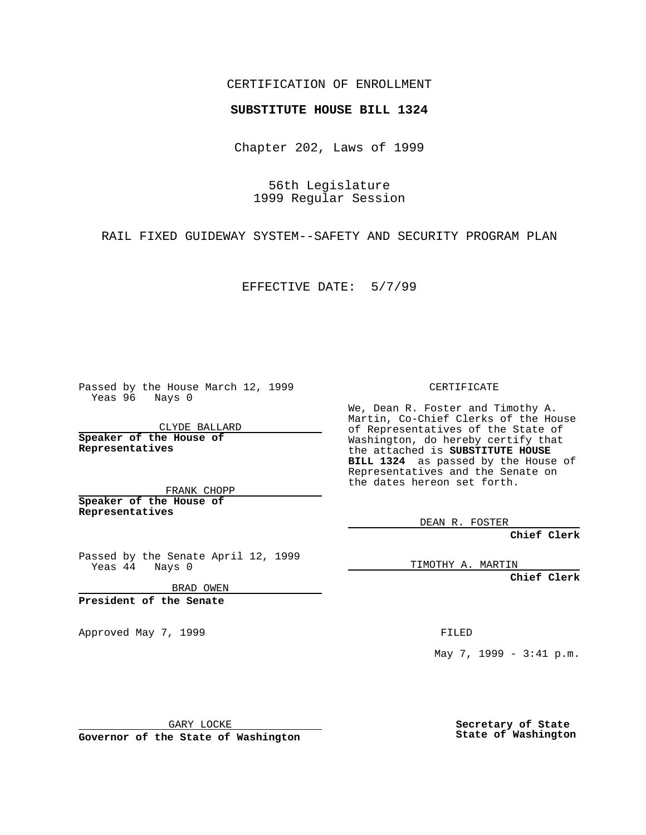## CERTIFICATION OF ENROLLMENT

## **SUBSTITUTE HOUSE BILL 1324**

Chapter 202, Laws of 1999

56th Legislature 1999 Regular Session

RAIL FIXED GUIDEWAY SYSTEM--SAFETY AND SECURITY PROGRAM PLAN

EFFECTIVE DATE: 5/7/99

Passed by the House March 12, 1999 Yeas 96 Nays 0

CLYDE BALLARD **Speaker of the House of Representatives**

FRANK CHOPP **Speaker of the House of Representatives**

Passed by the Senate April 12, 1999 Yeas 44 Nays 0

BRAD OWEN

**President of the Senate**

Approved May 7, 1999 **FILED** 

CERTIFICATE

We, Dean R. Foster and Timothy A. Martin, Co-Chief Clerks of the House of Representatives of the State of Washington, do hereby certify that the attached is **SUBSTITUTE HOUSE BILL 1324** as passed by the House of Representatives and the Senate on the dates hereon set forth.

DEAN R. FOSTER

**Chief Clerk**

TIMOTHY A. MARTIN

**Chief Clerk**

May 7, 1999 - 3:41 p.m.

GARY LOCKE

**Governor of the State of Washington**

**Secretary of State State of Washington**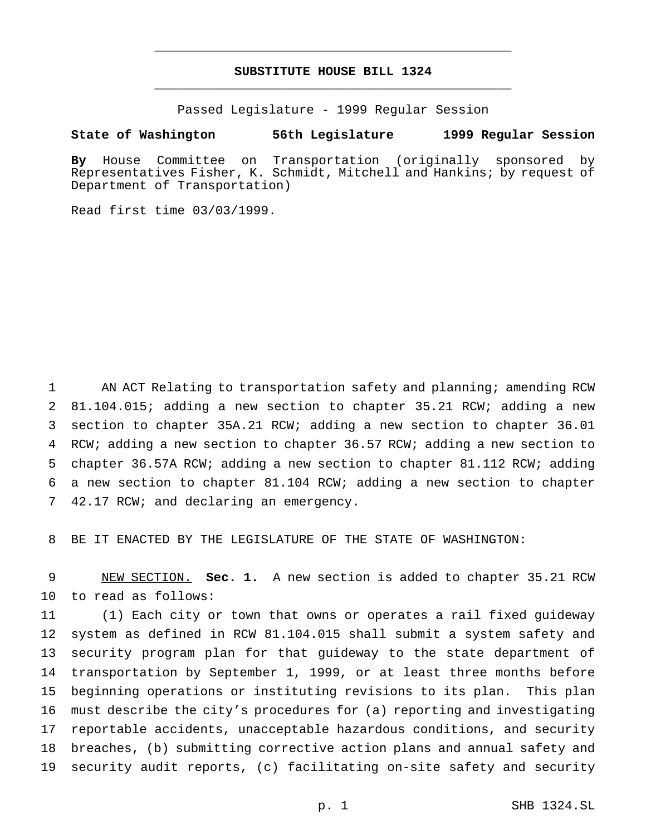## **SUBSTITUTE HOUSE BILL 1324** \_\_\_\_\_\_\_\_\_\_\_\_\_\_\_\_\_\_\_\_\_\_\_\_\_\_\_\_\_\_\_\_\_\_\_\_\_\_\_\_\_\_\_\_\_\_\_

\_\_\_\_\_\_\_\_\_\_\_\_\_\_\_\_\_\_\_\_\_\_\_\_\_\_\_\_\_\_\_\_\_\_\_\_\_\_\_\_\_\_\_\_\_\_\_

Passed Legislature - 1999 Regular Session

## **State of Washington 56th Legislature 1999 Regular Session**

**By** House Committee on Transportation (originally sponsored by Representatives Fisher, K. Schmidt, Mitchell and Hankins; by request of Department of Transportation)

Read first time 03/03/1999.

1 AN ACT Relating to transportation safety and planning; amending RCW 81.104.015; adding a new section to chapter 35.21 RCW; adding a new section to chapter 35A.21 RCW; adding a new section to chapter 36.01 RCW; adding a new section to chapter 36.57 RCW; adding a new section to chapter 36.57A RCW; adding a new section to chapter 81.112 RCW; adding a new section to chapter 81.104 RCW; adding a new section to chapter 42.17 RCW; and declaring an emergency.

BE IT ENACTED BY THE LEGISLATURE OF THE STATE OF WASHINGTON:

 NEW SECTION. **Sec. 1.** A new section is added to chapter 35.21 RCW to read as follows:

 (1) Each city or town that owns or operates a rail fixed guideway system as defined in RCW 81.104.015 shall submit a system safety and security program plan for that guideway to the state department of transportation by September 1, 1999, or at least three months before beginning operations or instituting revisions to its plan. This plan must describe the city's procedures for (a) reporting and investigating reportable accidents, unacceptable hazardous conditions, and security breaches, (b) submitting corrective action plans and annual safety and security audit reports, (c) facilitating on-site safety and security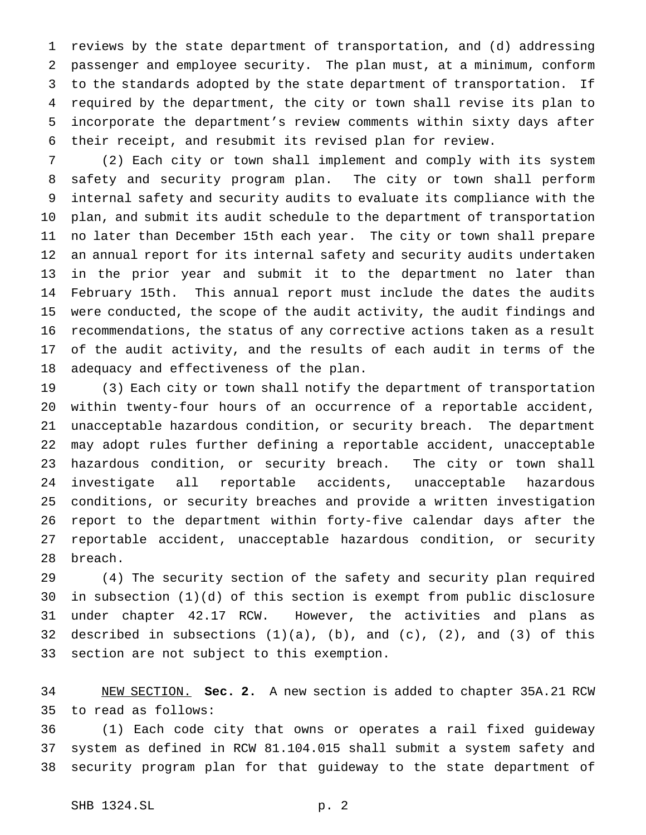reviews by the state department of transportation, and (d) addressing passenger and employee security. The plan must, at a minimum, conform to the standards adopted by the state department of transportation. If required by the department, the city or town shall revise its plan to incorporate the department's review comments within sixty days after their receipt, and resubmit its revised plan for review.

 (2) Each city or town shall implement and comply with its system safety and security program plan. The city or town shall perform internal safety and security audits to evaluate its compliance with the plan, and submit its audit schedule to the department of transportation no later than December 15th each year. The city or town shall prepare an annual report for its internal safety and security audits undertaken in the prior year and submit it to the department no later than February 15th. This annual report must include the dates the audits were conducted, the scope of the audit activity, the audit findings and recommendations, the status of any corrective actions taken as a result of the audit activity, and the results of each audit in terms of the adequacy and effectiveness of the plan.

 (3) Each city or town shall notify the department of transportation within twenty-four hours of an occurrence of a reportable accident, unacceptable hazardous condition, or security breach. The department may adopt rules further defining a reportable accident, unacceptable hazardous condition, or security breach. The city or town shall investigate all reportable accidents, unacceptable hazardous conditions, or security breaches and provide a written investigation report to the department within forty-five calendar days after the reportable accident, unacceptable hazardous condition, or security breach.

 (4) The security section of the safety and security plan required in subsection (1)(d) of this section is exempt from public disclosure under chapter 42.17 RCW. However, the activities and plans as 32 described in subsections  $(1)(a)$ ,  $(b)$ , and  $(c)$ ,  $(2)$ , and  $(3)$  of this section are not subject to this exemption.

 NEW SECTION. **Sec. 2.** A new section is added to chapter 35A.21 RCW to read as follows:

 (1) Each code city that owns or operates a rail fixed guideway system as defined in RCW 81.104.015 shall submit a system safety and security program plan for that guideway to the state department of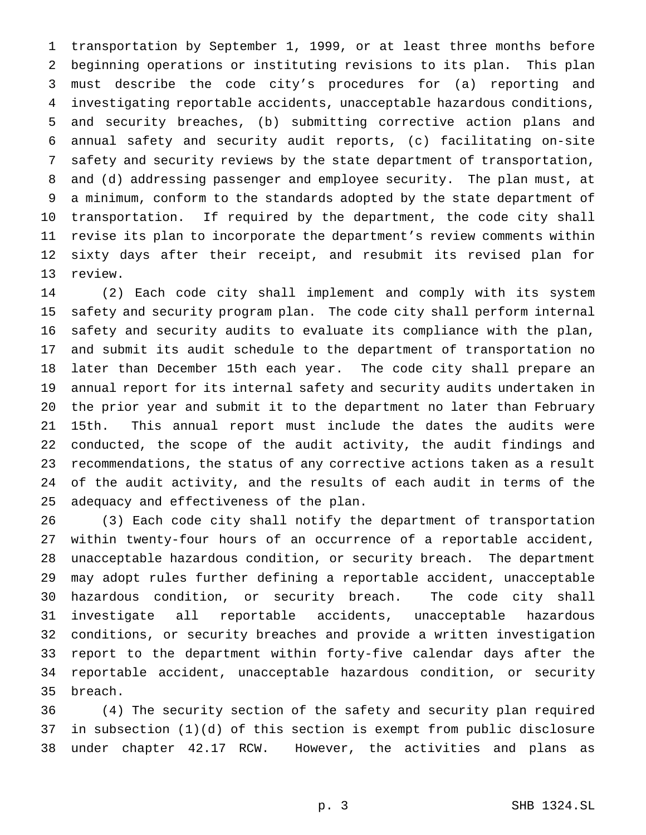transportation by September 1, 1999, or at least three months before beginning operations or instituting revisions to its plan. This plan must describe the code city's procedures for (a) reporting and investigating reportable accidents, unacceptable hazardous conditions, and security breaches, (b) submitting corrective action plans and annual safety and security audit reports, (c) facilitating on-site safety and security reviews by the state department of transportation, and (d) addressing passenger and employee security. The plan must, at a minimum, conform to the standards adopted by the state department of transportation. If required by the department, the code city shall revise its plan to incorporate the department's review comments within sixty days after their receipt, and resubmit its revised plan for review.

 (2) Each code city shall implement and comply with its system safety and security program plan. The code city shall perform internal safety and security audits to evaluate its compliance with the plan, and submit its audit schedule to the department of transportation no later than December 15th each year. The code city shall prepare an annual report for its internal safety and security audits undertaken in the prior year and submit it to the department no later than February 15th. This annual report must include the dates the audits were conducted, the scope of the audit activity, the audit findings and recommendations, the status of any corrective actions taken as a result of the audit activity, and the results of each audit in terms of the adequacy and effectiveness of the plan.

 (3) Each code city shall notify the department of transportation within twenty-four hours of an occurrence of a reportable accident, unacceptable hazardous condition, or security breach. The department may adopt rules further defining a reportable accident, unacceptable hazardous condition, or security breach. The code city shall investigate all reportable accidents, unacceptable hazardous conditions, or security breaches and provide a written investigation report to the department within forty-five calendar days after the reportable accident, unacceptable hazardous condition, or security breach.

 (4) The security section of the safety and security plan required in subsection (1)(d) of this section is exempt from public disclosure under chapter 42.17 RCW. However, the activities and plans as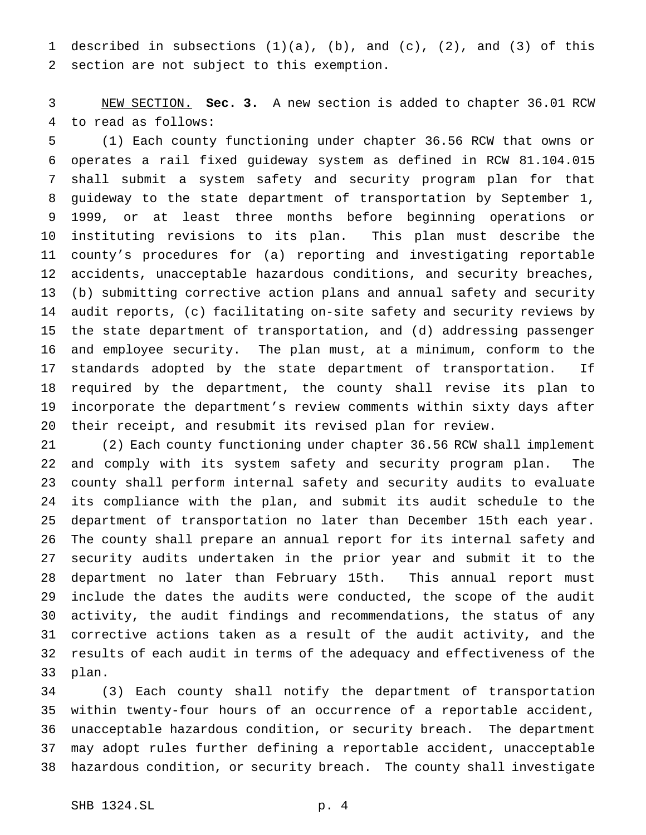described in subsections (1)(a), (b), and (c), (2), and (3) of this section are not subject to this exemption.

 NEW SECTION. **Sec. 3.** A new section is added to chapter 36.01 RCW to read as follows:

 (1) Each county functioning under chapter 36.56 RCW that owns or operates a rail fixed guideway system as defined in RCW 81.104.015 shall submit a system safety and security program plan for that guideway to the state department of transportation by September 1, 1999, or at least three months before beginning operations or instituting revisions to its plan. This plan must describe the county's procedures for (a) reporting and investigating reportable accidents, unacceptable hazardous conditions, and security breaches, (b) submitting corrective action plans and annual safety and security audit reports, (c) facilitating on-site safety and security reviews by the state department of transportation, and (d) addressing passenger and employee security. The plan must, at a minimum, conform to the standards adopted by the state department of transportation. If required by the department, the county shall revise its plan to incorporate the department's review comments within sixty days after their receipt, and resubmit its revised plan for review.

 (2) Each county functioning under chapter 36.56 RCW shall implement and comply with its system safety and security program plan. The county shall perform internal safety and security audits to evaluate its compliance with the plan, and submit its audit schedule to the department of transportation no later than December 15th each year. The county shall prepare an annual report for its internal safety and security audits undertaken in the prior year and submit it to the department no later than February 15th. This annual report must include the dates the audits were conducted, the scope of the audit activity, the audit findings and recommendations, the status of any corrective actions taken as a result of the audit activity, and the results of each audit in terms of the adequacy and effectiveness of the plan.

 (3) Each county shall notify the department of transportation within twenty-four hours of an occurrence of a reportable accident, unacceptable hazardous condition, or security breach. The department may adopt rules further defining a reportable accident, unacceptable hazardous condition, or security breach. The county shall investigate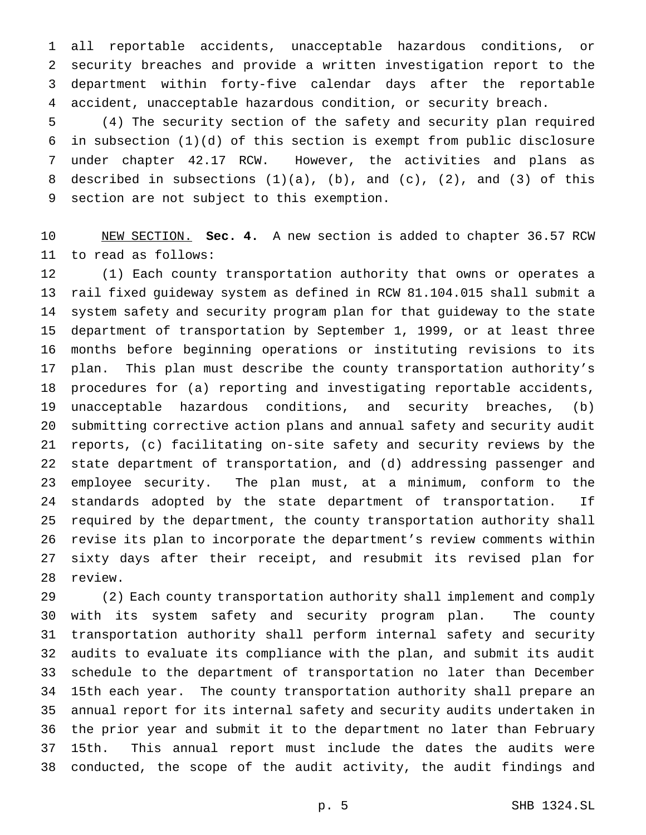all reportable accidents, unacceptable hazardous conditions, or security breaches and provide a written investigation report to the department within forty-five calendar days after the reportable accident, unacceptable hazardous condition, or security breach.

 (4) The security section of the safety and security plan required in subsection (1)(d) of this section is exempt from public disclosure under chapter 42.17 RCW. However, the activities and plans as 8 described in subsections  $(1)(a)$ ,  $(b)$ , and  $(c)$ ,  $(2)$ , and  $(3)$  of this section are not subject to this exemption.

 NEW SECTION. **Sec. 4.** A new section is added to chapter 36.57 RCW to read as follows:

 (1) Each county transportation authority that owns or operates a rail fixed guideway system as defined in RCW 81.104.015 shall submit a system safety and security program plan for that guideway to the state department of transportation by September 1, 1999, or at least three months before beginning operations or instituting revisions to its plan. This plan must describe the county transportation authority's procedures for (a) reporting and investigating reportable accidents, unacceptable hazardous conditions, and security breaches, (b) submitting corrective action plans and annual safety and security audit reports, (c) facilitating on-site safety and security reviews by the state department of transportation, and (d) addressing passenger and employee security. The plan must, at a minimum, conform to the standards adopted by the state department of transportation. If required by the department, the county transportation authority shall revise its plan to incorporate the department's review comments within sixty days after their receipt, and resubmit its revised plan for review.

 (2) Each county transportation authority shall implement and comply with its system safety and security program plan. The county transportation authority shall perform internal safety and security audits to evaluate its compliance with the plan, and submit its audit schedule to the department of transportation no later than December 15th each year. The county transportation authority shall prepare an annual report for its internal safety and security audits undertaken in the prior year and submit it to the department no later than February 15th. This annual report must include the dates the audits were conducted, the scope of the audit activity, the audit findings and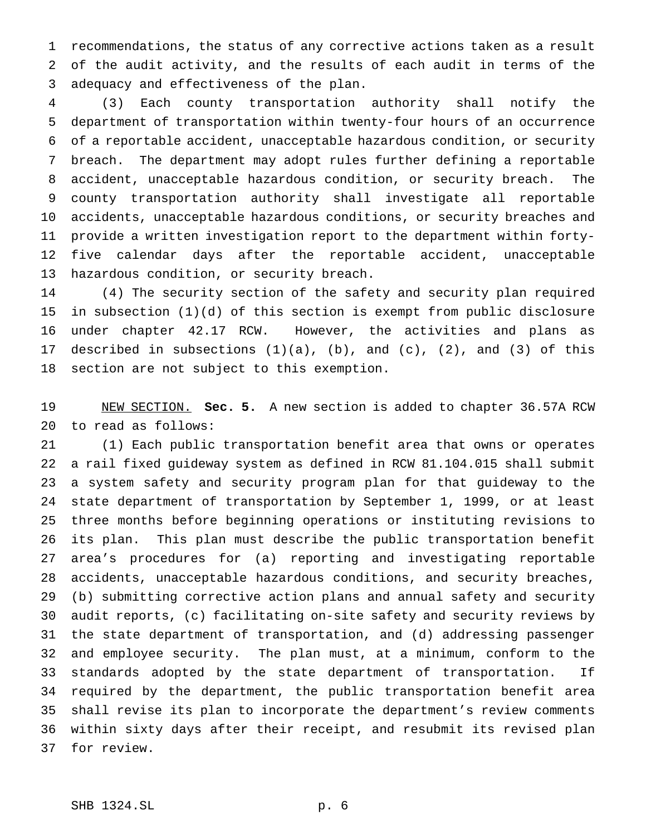recommendations, the status of any corrective actions taken as a result of the audit activity, and the results of each audit in terms of the adequacy and effectiveness of the plan.

 (3) Each county transportation authority shall notify the department of transportation within twenty-four hours of an occurrence of a reportable accident, unacceptable hazardous condition, or security breach. The department may adopt rules further defining a reportable accident, unacceptable hazardous condition, or security breach. The county transportation authority shall investigate all reportable accidents, unacceptable hazardous conditions, or security breaches and provide a written investigation report to the department within forty- five calendar days after the reportable accident, unacceptable hazardous condition, or security breach.

 (4) The security section of the safety and security plan required in subsection (1)(d) of this section is exempt from public disclosure under chapter 42.17 RCW. However, the activities and plans as described in subsections (1)(a), (b), and (c), (2), and (3) of this section are not subject to this exemption.

 NEW SECTION. **Sec. 5.** A new section is added to chapter 36.57A RCW to read as follows:

 (1) Each public transportation benefit area that owns or operates a rail fixed guideway system as defined in RCW 81.104.015 shall submit a system safety and security program plan for that guideway to the state department of transportation by September 1, 1999, or at least three months before beginning operations or instituting revisions to its plan. This plan must describe the public transportation benefit area's procedures for (a) reporting and investigating reportable accidents, unacceptable hazardous conditions, and security breaches, (b) submitting corrective action plans and annual safety and security audit reports, (c) facilitating on-site safety and security reviews by the state department of transportation, and (d) addressing passenger and employee security. The plan must, at a minimum, conform to the standards adopted by the state department of transportation. If required by the department, the public transportation benefit area shall revise its plan to incorporate the department's review comments within sixty days after their receipt, and resubmit its revised plan for review.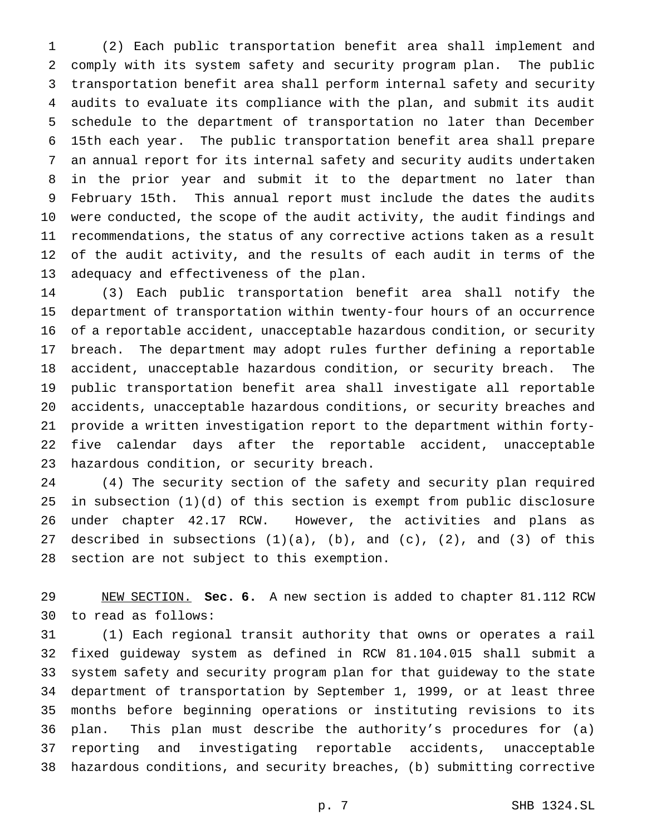(2) Each public transportation benefit area shall implement and comply with its system safety and security program plan. The public transportation benefit area shall perform internal safety and security audits to evaluate its compliance with the plan, and submit its audit schedule to the department of transportation no later than December 15th each year. The public transportation benefit area shall prepare an annual report for its internal safety and security audits undertaken in the prior year and submit it to the department no later than February 15th. This annual report must include the dates the audits were conducted, the scope of the audit activity, the audit findings and recommendations, the status of any corrective actions taken as a result of the audit activity, and the results of each audit in terms of the adequacy and effectiveness of the plan.

 (3) Each public transportation benefit area shall notify the department of transportation within twenty-four hours of an occurrence of a reportable accident, unacceptable hazardous condition, or security breach. The department may adopt rules further defining a reportable accident, unacceptable hazardous condition, or security breach. The public transportation benefit area shall investigate all reportable accidents, unacceptable hazardous conditions, or security breaches and provide a written investigation report to the department within forty- five calendar days after the reportable accident, unacceptable hazardous condition, or security breach.

 (4) The security section of the safety and security plan required in subsection (1)(d) of this section is exempt from public disclosure under chapter 42.17 RCW. However, the activities and plans as 27 described in subsections  $(1)(a)$ ,  $(b)$ , and  $(c)$ ,  $(2)$ , and  $(3)$  of this section are not subject to this exemption.

 NEW SECTION. **Sec. 6.** A new section is added to chapter 81.112 RCW to read as follows:

 (1) Each regional transit authority that owns or operates a rail fixed guideway system as defined in RCW 81.104.015 shall submit a system safety and security program plan for that guideway to the state department of transportation by September 1, 1999, or at least three months before beginning operations or instituting revisions to its plan. This plan must describe the authority's procedures for (a) reporting and investigating reportable accidents, unacceptable hazardous conditions, and security breaches, (b) submitting corrective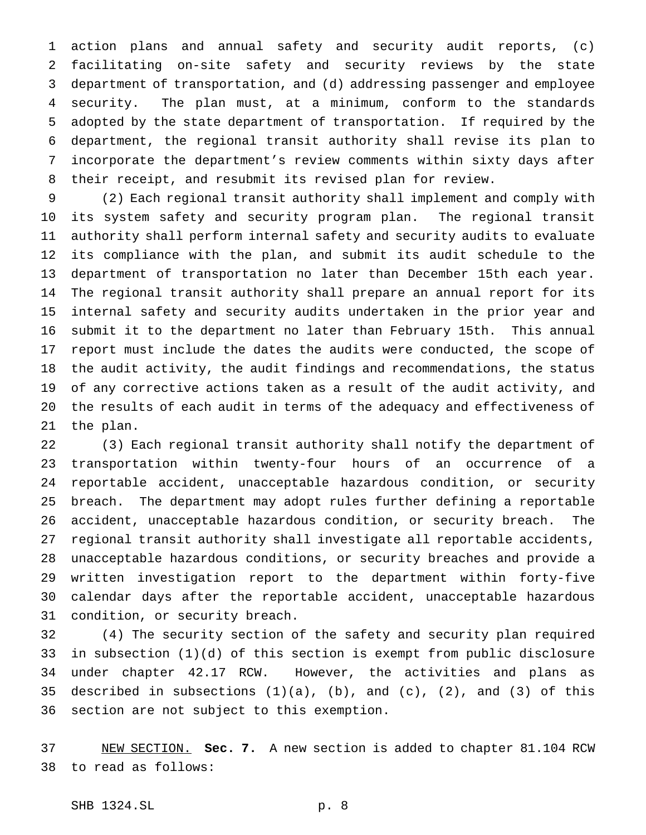action plans and annual safety and security audit reports, (c) facilitating on-site safety and security reviews by the state department of transportation, and (d) addressing passenger and employee security. The plan must, at a minimum, conform to the standards adopted by the state department of transportation. If required by the department, the regional transit authority shall revise its plan to incorporate the department's review comments within sixty days after their receipt, and resubmit its revised plan for review.

 (2) Each regional transit authority shall implement and comply with its system safety and security program plan. The regional transit authority shall perform internal safety and security audits to evaluate its compliance with the plan, and submit its audit schedule to the department of transportation no later than December 15th each year. The regional transit authority shall prepare an annual report for its internal safety and security audits undertaken in the prior year and submit it to the department no later than February 15th. This annual report must include the dates the audits were conducted, the scope of the audit activity, the audit findings and recommendations, the status of any corrective actions taken as a result of the audit activity, and the results of each audit in terms of the adequacy and effectiveness of the plan.

 (3) Each regional transit authority shall notify the department of transportation within twenty-four hours of an occurrence of a reportable accident, unacceptable hazardous condition, or security breach. The department may adopt rules further defining a reportable accident, unacceptable hazardous condition, or security breach. The regional transit authority shall investigate all reportable accidents, unacceptable hazardous conditions, or security breaches and provide a written investigation report to the department within forty-five calendar days after the reportable accident, unacceptable hazardous condition, or security breach.

 (4) The security section of the safety and security plan required in subsection (1)(d) of this section is exempt from public disclosure under chapter 42.17 RCW. However, the activities and plans as 35 described in subsections  $(1)(a)$ ,  $(b)$ , and  $(c)$ ,  $(2)$ , and  $(3)$  of this section are not subject to this exemption.

 NEW SECTION. **Sec. 7.** A new section is added to chapter 81.104 RCW to read as follows: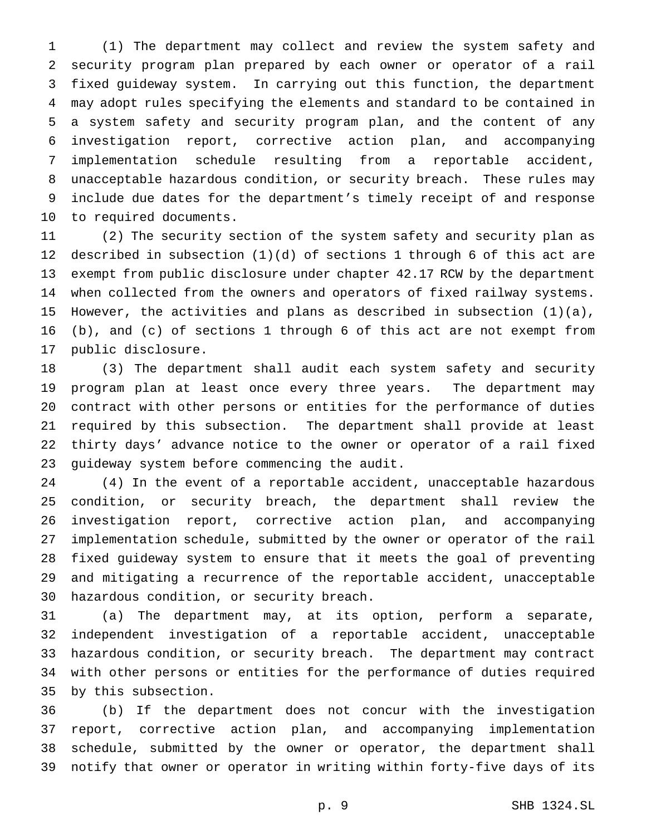(1) The department may collect and review the system safety and security program plan prepared by each owner or operator of a rail fixed guideway system. In carrying out this function, the department may adopt rules specifying the elements and standard to be contained in a system safety and security program plan, and the content of any investigation report, corrective action plan, and accompanying implementation schedule resulting from a reportable accident, unacceptable hazardous condition, or security breach. These rules may include due dates for the department's timely receipt of and response to required documents.

 (2) The security section of the system safety and security plan as described in subsection (1)(d) of sections 1 through 6 of this act are exempt from public disclosure under chapter 42.17 RCW by the department when collected from the owners and operators of fixed railway systems. However, the activities and plans as described in subsection (1)(a), (b), and (c) of sections 1 through 6 of this act are not exempt from public disclosure.

 (3) The department shall audit each system safety and security program plan at least once every three years. The department may contract with other persons or entities for the performance of duties required by this subsection. The department shall provide at least thirty days' advance notice to the owner or operator of a rail fixed guideway system before commencing the audit.

 (4) In the event of a reportable accident, unacceptable hazardous condition, or security breach, the department shall review the investigation report, corrective action plan, and accompanying implementation schedule, submitted by the owner or operator of the rail fixed guideway system to ensure that it meets the goal of preventing and mitigating a recurrence of the reportable accident, unacceptable hazardous condition, or security breach.

 (a) The department may, at its option, perform a separate, independent investigation of a reportable accident, unacceptable hazardous condition, or security breach. The department may contract with other persons or entities for the performance of duties required by this subsection.

 (b) If the department does not concur with the investigation report, corrective action plan, and accompanying implementation schedule, submitted by the owner or operator, the department shall notify that owner or operator in writing within forty-five days of its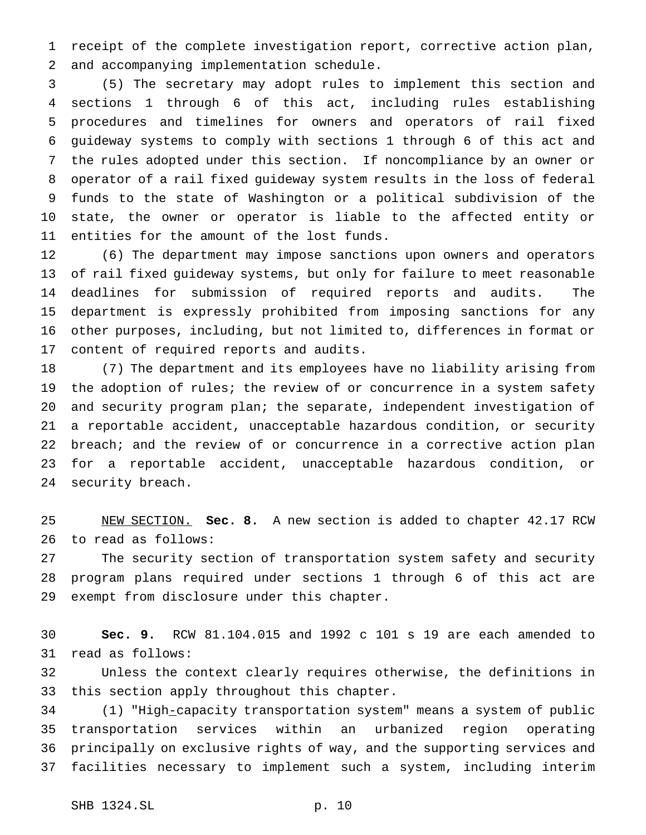receipt of the complete investigation report, corrective action plan, and accompanying implementation schedule.

 (5) The secretary may adopt rules to implement this section and sections 1 through 6 of this act, including rules establishing procedures and timelines for owners and operators of rail fixed guideway systems to comply with sections 1 through 6 of this act and the rules adopted under this section. If noncompliance by an owner or operator of a rail fixed guideway system results in the loss of federal funds to the state of Washington or a political subdivision of the state, the owner or operator is liable to the affected entity or entities for the amount of the lost funds.

 (6) The department may impose sanctions upon owners and operators of rail fixed guideway systems, but only for failure to meet reasonable deadlines for submission of required reports and audits. The department is expressly prohibited from imposing sanctions for any other purposes, including, but not limited to, differences in format or content of required reports and audits.

 (7) The department and its employees have no liability arising from 19 the adoption of rules; the review of or concurrence in a system safety and security program plan; the separate, independent investigation of a reportable accident, unacceptable hazardous condition, or security breach; and the review of or concurrence in a corrective action plan for a reportable accident, unacceptable hazardous condition, or security breach.

 NEW SECTION. **Sec. 8.** A new section is added to chapter 42.17 RCW to read as follows:

 The security section of transportation system safety and security program plans required under sections 1 through 6 of this act are exempt from disclosure under this chapter.

 **Sec. 9.** RCW 81.104.015 and 1992 c 101 s 19 are each amended to read as follows:

 Unless the context clearly requires otherwise, the definitions in this section apply throughout this chapter.

 (1) "High-capacity transportation system" means a system of public transportation services within an urbanized region operating principally on exclusive rights of way, and the supporting services and facilities necessary to implement such a system, including interim